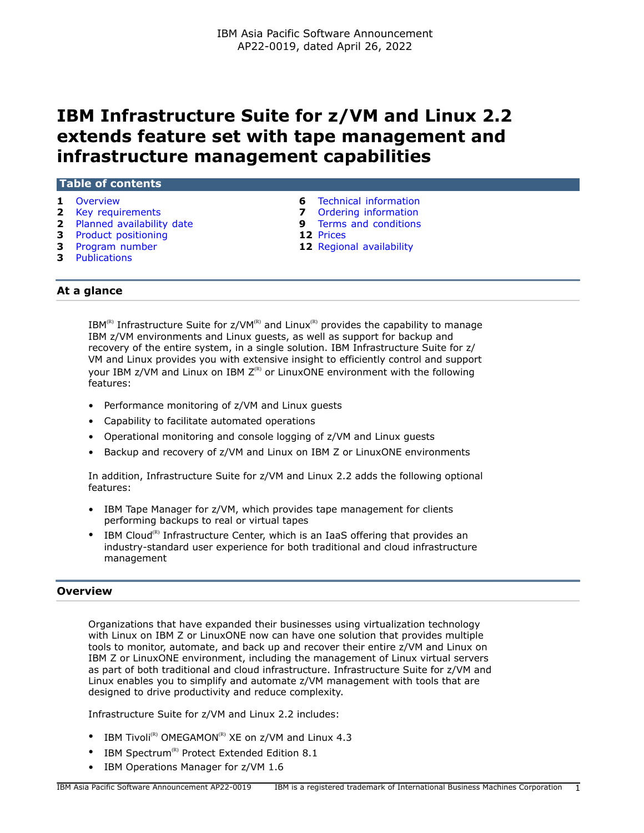# **IBM Infrastructure Suite for z/VM and Linux 2.2 extends feature set with tape management and infrastructure management capabilities**

| Table of contents            |                                |
|------------------------------|--------------------------------|
| 1 Overview                   | <b>6</b> Technical information |
| <b>2</b> Key requirements    | <b>7</b> Ordering information  |
| 2 Planned availability date  | <b>9</b> Terms and conditions  |
| <b>3</b> Product positioning | 12 Prices                      |
| <b>3</b> Program number      | 12 Regional availability       |

**3** [Publications](#page-2-2)

# **At a glance**

IBM<sup>(R)</sup> Infrastructure Suite for  $z/VM^{(R)}$  and Linux<sup>(R)</sup> provides the capability to manage IBM z/VM environments and Linux guests, as well as support for backup and recovery of the entire system, in a single solution. IBM Infrastructure Suite for z/ VM and Linux provides you with extensive insight to efficiently control and support your IBM  $z/W$  and Linux on IBM  $Z^{(R)}$  or LinuxONE environment with the following features:

- Performance monitoring of z/VM and Linux guests
- Capability to facilitate automated operations
- Operational monitoring and console logging of z/VM and Linux guests
- Backup and recovery of z/VM and Linux on IBM Z or LinuxONE environments

In addition, Infrastructure Suite for z/VM and Linux 2.2 adds the following optional features:

- IBM Tape Manager for z/VM, which provides tape management for clients performing backups to real or virtual tapes
- IBM Cloud<sup>(R)</sup> Infrastructure Center, which is an IaaS offering that provides an industry-standard user experience for both traditional and cloud infrastructure management

# <span id="page-0-0"></span>**Overview**

Organizations that have expanded their businesses using virtualization technology with Linux on IBM Z or LinuxONE now can have one solution that provides multiple tools to monitor, automate, and back up and recover their entire z/VM and Linux on IBM Z or LinuxONE environment, including the management of Linux virtual servers as part of both traditional and cloud infrastructure. Infrastructure Suite for z/VM and Linux enables you to simplify and automate z/VM management with tools that are designed to drive productivity and reduce complexity.

Infrastructure Suite for z/VM and Linux 2.2 includes:

- IBM Tivoli<sup>(R)</sup> OMEGAMON<sup>(R)</sup> XE on  $z$ /VM and Linux 4.3
- IBM Spectrum<sup>(R)</sup> Protect Extended Edition 8.1
- IBM Operations Manager for z/VM 1.6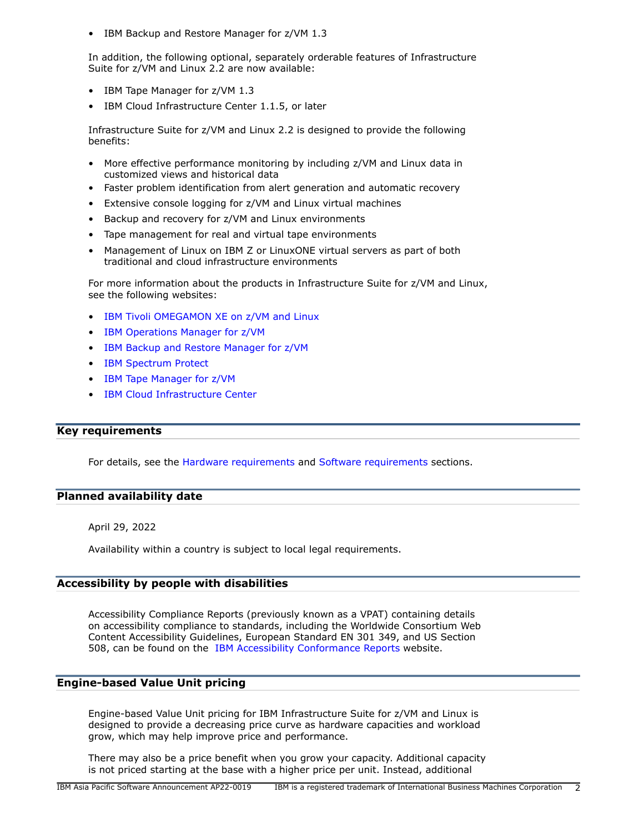• IBM Backup and Restore Manager for z/VM 1.3

In addition, the following optional, separately orderable features of Infrastructure Suite for z/VM and Linux 2.2 are now available:

- IBM Tape Manager for z/VM 1.3
- IBM Cloud Infrastructure Center 1.1.5, or later

Infrastructure Suite for z/VM and Linux 2.2 is designed to provide the following benefits:

- More effective performance monitoring by including z/VM and Linux data in customized views and historical data
- Faster problem identification from alert generation and automatic recovery
- Extensive console logging for z/VM and Linux virtual machines
- Backup and recovery for z/VM and Linux environments
- Tape management for real and virtual tape environments
- Management of Linux on IBM Z or LinuxONE virtual servers as part of both traditional and cloud infrastructure environments

For more information about the products in Infrastructure Suite for z/VM and Linux, see the following websites:

- [IBM Tivoli OMEGAMON XE on z/VM and Linux](https://www.ibm.com/products/omegamon-on-zvm-and-linux)
- [IBM Operations Manager for z/VM](https://www.ibm.com/products/operations-manager-for-zvm)
- [IBM Backup and Restore Manager for z/VM](https://www.ibm.com/products/backup-and-restore-manager-for-zvm)
- [IBM Spectrum Protect](https://www.ibm.com/products/data-protection-and-recovery)
- [IBM Tape Manager for z/VM](https://www.ibm.com/products/tape-manager-for-zvm)
- [IBM Cloud Infrastructure Center](https://www.ibm.com/products/cloud-infrastructure-center)

# <span id="page-1-0"></span>**Key requirements**

For details, see the [Hardware requirements](#page-5-1) and [Software requirements](#page-5-2) sections.

# <span id="page-1-1"></span>**Planned availability date**

April 29, 2022

Availability within a country is subject to local legal requirements.

# **Accessibility by people with disabilities**

Accessibility Compliance Reports (previously known as a VPAT) containing details on accessibility compliance to standards, including the Worldwide Consortium Web Content Accessibility Guidelines, European Standard EN 301 349, and US Section 508, can be found on the [IBM Accessibility Conformance Reports](https://www.ibm.com/able/product_accessibility/) website.

# **Engine-based Value Unit pricing**

Engine-based Value Unit pricing for IBM Infrastructure Suite for z/VM and Linux is designed to provide a decreasing price curve as hardware capacities and workload grow, which may help improve price and performance.

There may also be a price benefit when you grow your capacity. Additional capacity is not priced starting at the base with a higher price per unit. Instead, additional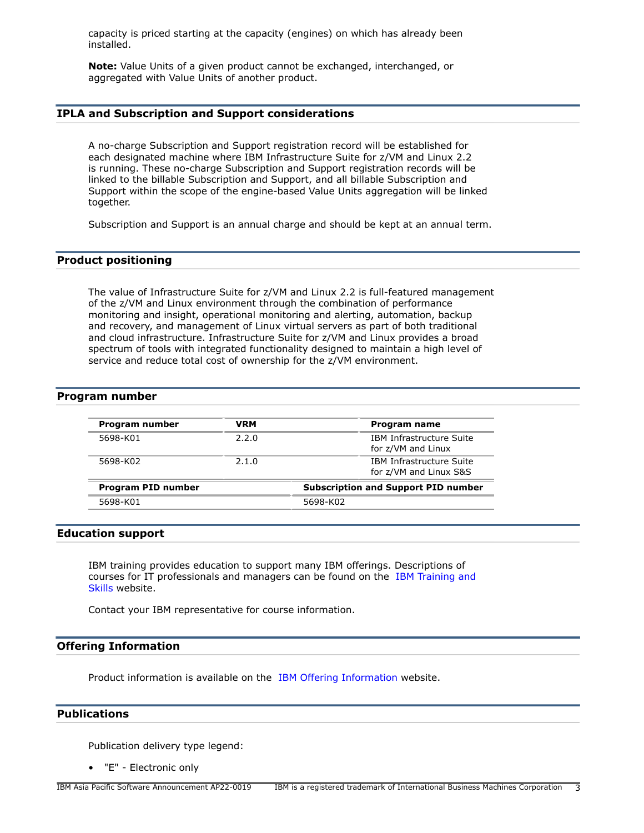capacity is priced starting at the capacity (engines) on which has already been installed.

**Note:** Value Units of a given product cannot be exchanged, interchanged, or aggregated with Value Units of another product.

# **IPLA and Subscription and Support considerations**

A no-charge Subscription and Support registration record will be established for each designated machine where IBM Infrastructure Suite for z/VM and Linux 2.2 is running. These no-charge Subscription and Support registration records will be linked to the billable Subscription and Support, and all billable Subscription and Support within the scope of the engine-based Value Units aggregation will be linked together.

Subscription and Support is an annual charge and should be kept at an annual term.

# <span id="page-2-0"></span>**Product positioning**

The value of Infrastructure Suite for z/VM and Linux 2.2 is full-featured management of the z/VM and Linux environment through the combination of performance monitoring and insight, operational monitoring and alerting, automation, backup and recovery, and management of Linux virtual servers as part of both traditional and cloud infrastructure. Infrastructure Suite for z/VM and Linux provides a broad spectrum of tools with integrated functionality designed to maintain a high level of service and reduce total cost of ownership for the z/VM environment.

### <span id="page-2-1"></span>**Program number**

| Program number     | <b>VRM</b> | Program name                                          |
|--------------------|------------|-------------------------------------------------------|
| 5698-K01           | 2.2.0      | <b>IBM Infrastructure Suite</b><br>for z/VM and Linux |
| 5698-K02           | 2.1.0      | IBM Infrastructure Suite<br>for z/VM and Linux S&S    |
| Program PID number |            | <b>Subscription and Support PID number</b>            |
| 5698-K01           |            | 5698-K02                                              |

### **Education support**

IBM training provides education to support many IBM offerings. Descriptions of courses for IT professionals and managers can be found on the [IBM Training and](http://www.ibm.com/services/learning/) [Skills](http://www.ibm.com/services/learning/) website.

Contact your IBM representative for course information.

### **Offering Information**

Product information is available on the [IBM Offering Information](http://www.ibm.com/common/ssi) website.

### <span id="page-2-2"></span>**Publications**

Publication delivery type legend:

• "E" - Electronic only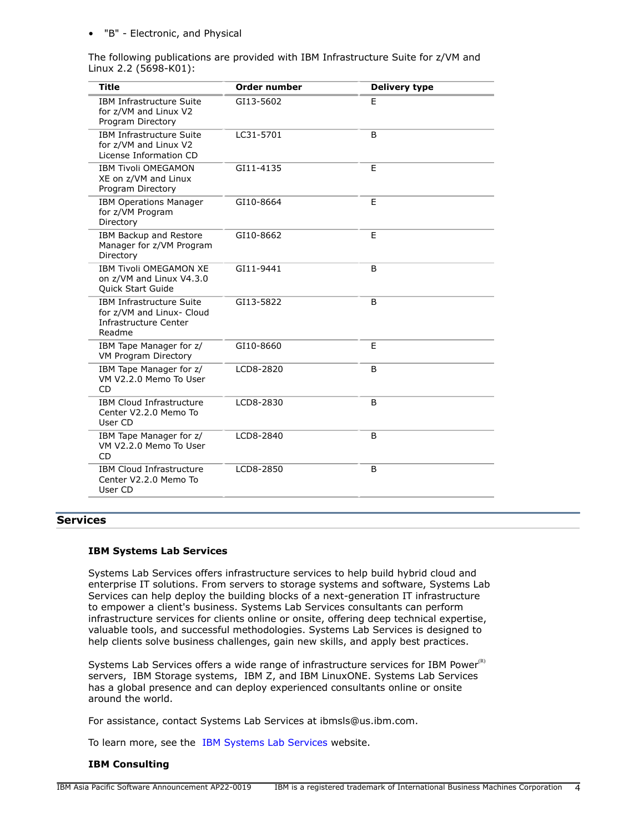### • "B" - Electronic, and Physical

The following publications are provided with IBM Infrastructure Suite for z/VM and Linux 2.2 (5698-K01):

| <b>Title</b>                                                                                    | <b>Order number</b> | <b>Delivery type</b> |
|-------------------------------------------------------------------------------------------------|---------------------|----------------------|
| <b>IBM Infrastructure Suite</b><br>for z/VM and Linux V2<br>Program Directory                   | GI13-5602           | E                    |
| <b>IBM Infrastructure Suite</b><br>for z/VM and Linux V2<br>License Information CD              | LC31-5701           | B                    |
| <b>IBM Tivoli OMEGAMON</b><br>XE on z/VM and Linux<br>Program Directory                         | GI11-4135           | E                    |
| <b>IBM Operations Manager</b><br>for z/VM Program<br>Directory                                  | GI10-8664           | E                    |
| IBM Backup and Restore<br>Manager for z/VM Program<br>Directory                                 | GI10-8662           | E                    |
| <b>IBM Tivoli OMEGAMON XE</b><br>on z/VM and Linux V4.3.0<br><b>Quick Start Guide</b>           | GI11-9441           | B                    |
| <b>IBM Infrastructure Suite</b><br>for z/VM and Linux- Cloud<br>Infrastructure Center<br>Readme | GI13-5822           | B                    |
| IBM Tape Manager for z/<br>VM Program Directory                                                 | GI10-8660           | E                    |
| IBM Tape Manager for z/<br>VM V2.2.0 Memo To User<br><b>CD</b>                                  | LCD8-2820           | B                    |
| <b>IBM Cloud Infrastructure</b><br>Center V2.2.0 Memo To<br>User CD                             | LCD8-2830           | B                    |
| IBM Tape Manager for z/<br>VM V2.2.0 Memo To User<br>CD                                         | LCD8-2840           | B                    |
| <b>IBM Cloud Infrastructure</b><br>Center V2.2.0 Memo To<br>User CD                             | LCD8-2850           | B                    |

# **Services**

### **IBM Systems Lab Services**

Systems Lab Services offers infrastructure services to help build hybrid cloud and enterprise IT solutions. From servers to storage systems and software, Systems Lab Services can help deploy the building blocks of a next-generation IT infrastructure to empower a client's business. Systems Lab Services consultants can perform infrastructure services for clients online or onsite, offering deep technical expertise, valuable tools, and successful methodologies. Systems Lab Services is designed to help clients solve business challenges, gain new skills, and apply best practices.

Systems Lab Services offers a wide range of infrastructure services for IBM Power $R$ ) servers, IBM Storage systems, IBM Z, and IBM LinuxONE. Systems Lab Services has a global presence and can deploy experienced consultants online or onsite around the world.

For assistance, contact Systems Lab Services at ibmsls@us.ibm.com.

To learn more, see the [IBM Systems Lab Services](https://www.ibm.com/it-infrastructure/services/lab-services) website.

## **IBM Consulting**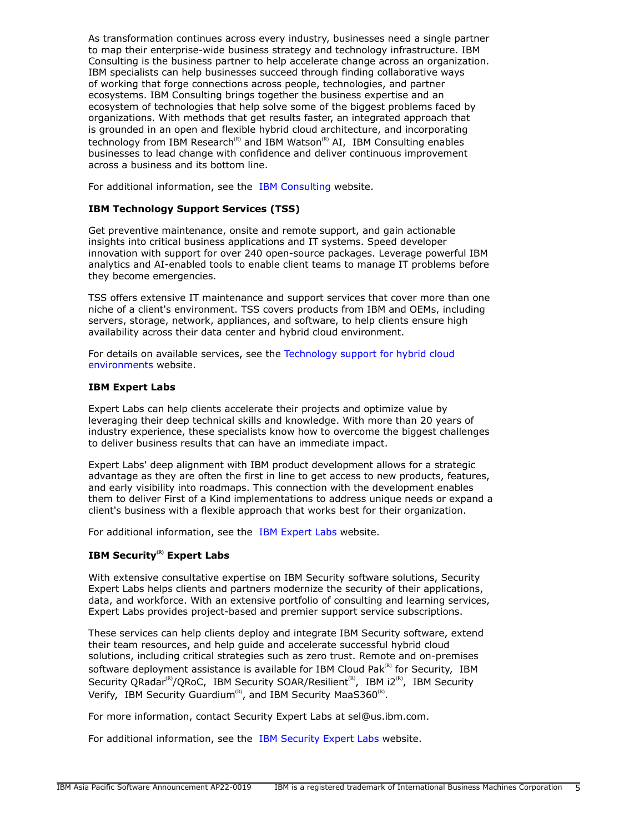As transformation continues across every industry, businesses need a single partner to map their enterprise-wide business strategy and technology infrastructure. IBM Consulting is the business partner to help accelerate change across an organization. IBM specialists can help businesses succeed through finding collaborative ways of working that forge connections across people, technologies, and partner ecosystems. IBM Consulting brings together the business expertise and an ecosystem of technologies that help solve some of the biggest problems faced by organizations. With methods that get results faster, an integrated approach that is grounded in an open and flexible hybrid cloud architecture, and incorporating technology from IBM Research<sup>(R)</sup> and IBM Watson<sup>(R)</sup> AI, IBM Consulting enables businesses to lead change with confidence and deliver continuous improvement across a business and its bottom line.

For additional information, see the [IBM Consulting](https://www.ibm.com/consulting) website.

# **IBM Technology Support Services (TSS)**

Get preventive maintenance, onsite and remote support, and gain actionable insights into critical business applications and IT systems. Speed developer innovation with support for over 240 open-source packages. Leverage powerful IBM analytics and AI-enabled tools to enable client teams to manage IT problems before they become emergencies.

TSS offers extensive IT maintenance and support services that cover more than one niche of a client's environment. TSS covers products from IBM and OEMs, including servers, storage, network, appliances, and software, to help clients ensure high availability across their data center and hybrid cloud environment.

For details on available services, see the [Technology support for hybrid cloud](https://www.ibm.com/services/technology-support) [environments](https://www.ibm.com/services/technology-support) website.

### **IBM Expert Labs**

Expert Labs can help clients accelerate their projects and optimize value by leveraging their deep technical skills and knowledge. With more than 20 years of industry experience, these specialists know how to overcome the biggest challenges to deliver business results that can have an immediate impact.

Expert Labs' deep alignment with IBM product development allows for a strategic advantage as they are often the first in line to get access to new products, features, and early visibility into roadmaps. This connection with the development enables them to deliver First of a Kind implementations to address unique needs or expand a client's business with a flexible approach that works best for their organization.

For additional information, see the [IBM Expert Labs](https://www.ibm.com/products/expertlabs) website.

# **IBM Security(R) Expert Labs**

With extensive consultative expertise on IBM Security software solutions, Security Expert Labs helps clients and partners modernize the security of their applications, data, and workforce. With an extensive portfolio of consulting and learning services, Expert Labs provides project-based and premier support service subscriptions.

These services can help clients deploy and integrate IBM Security software, extend their team resources, and help guide and accelerate successful hybrid cloud solutions, including critical strategies such as zero trust. Remote and on-premises software deployment assistance is available for IBM Cloud Pak $R<sup>(R)</sup>$  for Security, IBM Security QRadar<sup>(R)</sup>/QRoC, IBM Security SOAR/Resilient<sup>(R)</sup>, IBM i2<sup>(R)</sup>, IBM Security Verify, IBM Security Guardium<sup>(R)</sup>, and IBM Security MaaS360<sup>(R)</sup>.

For more information, contact Security Expert Labs at sel@us.ibm.com.

For additional information, see the [IBM Security Expert Labs](https://www.ibm.com/security/security-expert-labs) website.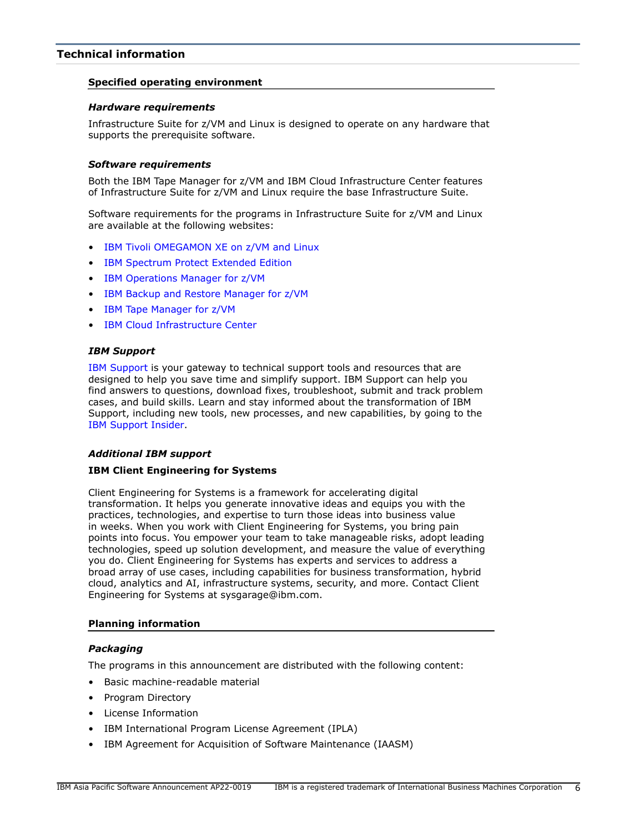# <span id="page-5-0"></span>**Technical information**

### **Specified operating environment**

### <span id="page-5-1"></span>*Hardware requirements*

Infrastructure Suite for z/VM and Linux is designed to operate on any hardware that supports the prerequisite software.

### <span id="page-5-2"></span>*Software requirements*

Both the IBM Tape Manager for z/VM and IBM Cloud Infrastructure Center features of Infrastructure Suite for z/VM and Linux require the base Infrastructure Suite.

Software requirements for the programs in Infrastructure Suite for z/VM and Linux are available at the following websites:

- [IBM Tivoli OMEGAMON XE on z/VM and Linux](https://www.ibm.com/software/reports/compatibility/clarity-reports/report/html/softwareReqsForProduct?deliverableId=D2DD63B0C3DA11E6A98AAE81A233E762&osPlatforms=Linux&duComponentIds=A000)
- [IBM Spectrum Protect Extended Edition](https://www.ibm.com/support/pages/node/84861)
- [IBM Operations Manager for z/VM](https://www.ibm.com/products/operations-manager-for-zvm)
- [IBM Backup and Restore Manager for z/VM](http://www.ibm.com/software/products/en/backup-restore-manager-for-zvm)
- [IBM Tape Manager for z/VM](https://www.ibm.com/products/tape-manager-for-zvm)
- [IBM Cloud Infrastructure Center](https://www.ibm.com/products/cloud-infrastructure-center)

### *IBM Support*

[IBM Support](https://www.ibm.com/support) is your gateway to technical support tools and resources that are designed to help you save time and simplify support. IBM Support can help you find answers to questions, download fixes, troubleshoot, submit and track problem cases, and build skills. Learn and stay informed about the transformation of IBM Support, including new tools, new processes, and new capabilities, by going to the [IBM Support Insider](https://www.ibm.com/support/insider).

### *Additional IBM support*

### **IBM Client Engineering for Systems**

Client Engineering for Systems is a framework for accelerating digital transformation. It helps you generate innovative ideas and equips you with the practices, technologies, and expertise to turn those ideas into business value in weeks. When you work with Client Engineering for Systems, you bring pain points into focus. You empower your team to take manageable risks, adopt leading technologies, speed up solution development, and measure the value of everything you do. Client Engineering for Systems has experts and services to address a broad array of use cases, including capabilities for business transformation, hybrid cloud, analytics and AI, infrastructure systems, security, and more. Contact Client Engineering for Systems at sysgarage@ibm.com.

### **Planning information**

# *Packaging*

The programs in this announcement are distributed with the following content:

- Basic machine-readable material
- Program Directory
- License Information
- IBM International Program License Agreement (IPLA)
- IBM Agreement for Acquisition of Software Maintenance (IAASM)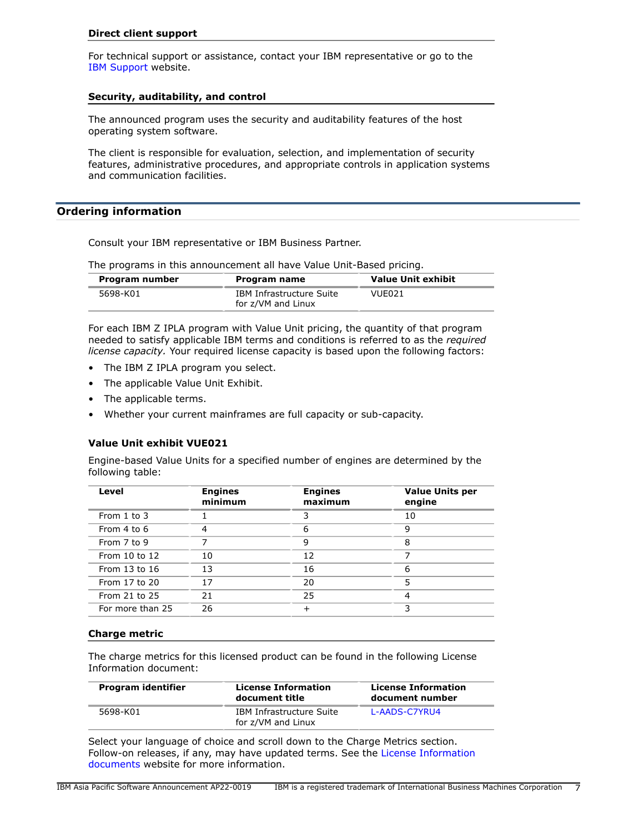### **Direct client support**

For technical support or assistance, contact your IBM representative or go to the [IBM Support](http://www.ibm.com/support) website.

### **Security, auditability, and control**

The announced program uses the security and auditability features of the host operating system software.

The client is responsible for evaluation, selection, and implementation of security features, administrative procedures, and appropriate controls in application systems and communication facilities.

### <span id="page-6-0"></span>**Ordering information**

Consult your IBM representative or IBM Business Partner.

The programs in this announcement all have Value Unit-Based pricing.

| Program number | Program name                                   | <b>Value Unit exhibit</b> |
|----------------|------------------------------------------------|---------------------------|
| 5698-K01       | IBM Infrastructure Suite<br>for z/VM and Linux | VUE021                    |

For each IBM Z IPLA program with Value Unit pricing, the quantity of that program needed to satisfy applicable IBM terms and conditions is referred to as the *required license capacity.* Your required license capacity is based upon the following factors:

- The IBM Z IPLA program you select.
- The applicable Value Unit Exhibit.
- The applicable terms.
- Whether your current mainframes are full capacity or sub-capacity.

# **Value Unit exhibit VUE021**

Engine-based Value Units for a specified number of engines are determined by the following table:

| Level            | <b>Engines</b><br>minimum | <b>Engines</b><br>maximum | <b>Value Units per</b><br>engine |
|------------------|---------------------------|---------------------------|----------------------------------|
| From 1 to 3      |                           |                           | 10                               |
| From 4 to 6      |                           | 6                         | q                                |
| From 7 to 9      |                           | 9                         | 8                                |
| From 10 to 12    | 10                        | 12                        |                                  |
| From 13 to 16    | 13                        | 16                        | 6                                |
| From 17 to 20    | 17                        | 20                        | 5                                |
| From 21 to 25    | 21                        | 25                        |                                  |
| For more than 25 | 26                        |                           |                                  |

#### **Charge metric**

The charge metrics for this licensed product can be found in the following License Information document:

| Program identifier | <b>License Information</b><br>document title   | <b>License Information</b><br>document number |
|--------------------|------------------------------------------------|-----------------------------------------------|
| 5698-K01           | IBM Infrastructure Suite<br>for z/VM and Linux | L-AADS-C7YRU4                                 |

Select your language of choice and scroll down to the Charge Metrics section. Follow-on releases, if any, may have updated terms. See the [License Information](https://www.ibm.com/software/sla/sladb.nsf/search?OpenForm) [documents](https://www.ibm.com/software/sla/sladb.nsf/search?OpenForm) website for more information.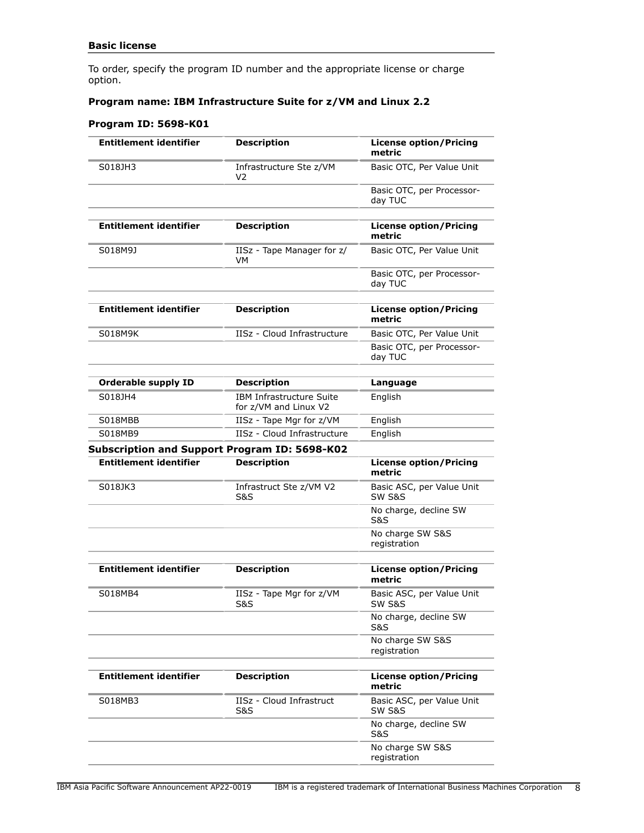To order, specify the program ID number and the appropriate license or charge option.

# **Program name: IBM Infrastructure Suite for z/VM and Linux 2.2**

# **Program ID: 5698-K01**

| <b>Entitlement identifier</b> | <b>Description</b>                                | <b>License option/Pricing</b><br>metric        |
|-------------------------------|---------------------------------------------------|------------------------------------------------|
| S018JH3                       | Infrastructure Ste z/VM<br>V2                     | Basic OTC, Per Value Unit                      |
|                               |                                                   | Basic OTC, per Processor-<br>day TUC           |
|                               |                                                   |                                                |
| <b>Entitlement identifier</b> | <b>Description</b>                                | <b>License option/Pricing</b><br>metric        |
| S018M9J                       | IISz - Tape Manager for z/<br>VM                  | Basic OTC, Per Value Unit                      |
|                               |                                                   | Basic OTC, per Processor-<br>day TUC           |
|                               |                                                   |                                                |
| <b>Entitlement identifier</b> | <b>Description</b>                                | <b>License option/Pricing</b><br>metric        |
| S018M9K                       | IISz - Cloud Infrastructure                       | Basic OTC, Per Value Unit                      |
|                               |                                                   | Basic OTC, per Processor-<br>day TUC           |
|                               |                                                   |                                                |
| <b>Orderable supply ID</b>    | <b>Description</b>                                | Language                                       |
| S018JH4                       | IBM Infrastructure Suite<br>for z/VM and Linux V2 | English                                        |
| S018MBB                       | IISz - Tape Mgr for z/VM                          | English                                        |
| S018MB9                       | IISz - Cloud Infrastructure                       | English                                        |
|                               | Subscription and Support Program ID: 5698-K02     |                                                |
| <b>Entitlement identifier</b> | <b>Description</b>                                | <b>License option/Pricing</b><br>metric        |
| S018JK3                       | Infrastruct Ste z/VM V2<br>S&S                    | Basic ASC, per Value Unit<br>SW S&S            |
|                               |                                                   | No charge, decline SW<br><b>S&amp;S</b>        |
|                               |                                                   | No charge SW S&S<br>registration               |
|                               |                                                   |                                                |
| <b>Entitlement identifier</b> | <b>Description</b>                                | <b>License option/Pricing</b><br>metric        |
| S018MB4                       | IISz - Tape Mgr for z/VM<br>S&S                   | Basic ASC, per Value Unit<br>SW S&S            |
|                               |                                                   | No charge, decline SW<br><b>S&amp;S</b>        |
|                               |                                                   | No charge SW S&S<br>registration               |
|                               |                                                   |                                                |
| <b>Entitlement identifier</b> | <b>Description</b>                                | <b>License option/Pricing</b><br>metric        |
| S018MB3                       | IISz - Cloud Infrastruct<br><b>S&amp;S</b>        | Basic ASC, per Value Unit<br><b>SW S&amp;S</b> |
|                               |                                                   | No charge, decline SW<br><b>S&amp;S</b>        |
|                               |                                                   | No charge SW S&S<br>registration               |
|                               |                                                   |                                                |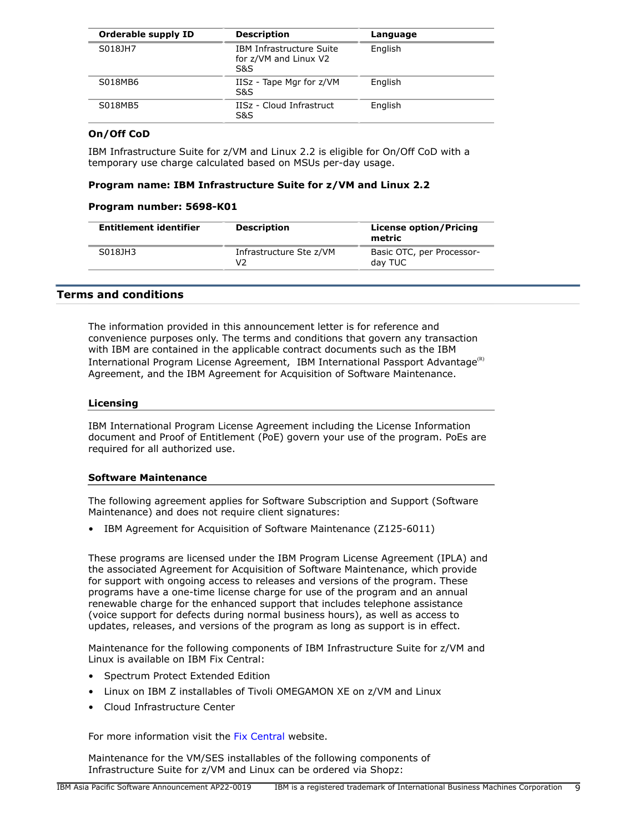| Orderable supply ID | <b>Description</b>                                              | Language |
|---------------------|-----------------------------------------------------------------|----------|
| S018JH7             | <b>IBM Infrastructure Suite</b><br>for z/VM and Linux V2<br>S&S | English  |
| S018MB6             | IISz - Tape Mgr for z/VM<br>S&S                                 | English  |
| S018MB5             | IISz - Cloud Infrastruct<br>S&S                                 | English  |

# **On/Off CoD**

IBM Infrastructure Suite for z/VM and Linux 2.2 is eligible for On/Off CoD with a temporary use charge calculated based on MSUs per-day usage.

### **Program name: IBM Infrastructure Suite for z/VM and Linux 2.2**

### **Program number: 5698-K01**

| <b>Entitlement identifier</b> | <b>Description</b>            | <b>License option/Pricing</b><br>metric |
|-------------------------------|-------------------------------|-----------------------------------------|
| S018JH3                       | Infrastructure Ste z/VM<br>V2 | Basic OTC, per Processor-<br>day TUC    |

# <span id="page-8-0"></span>**Terms and conditions**

The information provided in this announcement letter is for reference and convenience purposes only. The terms and conditions that govern any transaction with IBM are contained in the applicable contract documents such as the IBM International Program License Agreement, IBM International Passport Advantage<sup>(R)</sup> Agreement, and the IBM Agreement for Acquisition of Software Maintenance.

### **Licensing**

IBM International Program License Agreement including the License Information document and Proof of Entitlement (PoE) govern your use of the program. PoEs are required for all authorized use.

### **Software Maintenance**

The following agreement applies for Software Subscription and Support (Software Maintenance) and does not require client signatures:

• IBM Agreement for Acquisition of Software Maintenance (Z125-6011)

These programs are licensed under the IBM Program License Agreement (IPLA) and the associated Agreement for Acquisition of Software Maintenance, which provide for support with ongoing access to releases and versions of the program. These programs have a one-time license charge for use of the program and an annual renewable charge for the enhanced support that includes telephone assistance (voice support for defects during normal business hours), as well as access to updates, releases, and versions of the program as long as support is in effect.

Maintenance for the following components of IBM Infrastructure Suite for z/VM and Linux is available on IBM Fix Central:

- Spectrum Protect Extended Edition
- Linux on IBM Z installables of Tivoli OMEGAMON XE on z/VM and Linux
- Cloud Infrastructure Center

For more information visit the [Fix Central](http://www.ibm.com/support/fixcentral/) website.

Maintenance for the VM/SES installables of the following components of Infrastructure Suite for z/VM and Linux can be ordered via Shopz: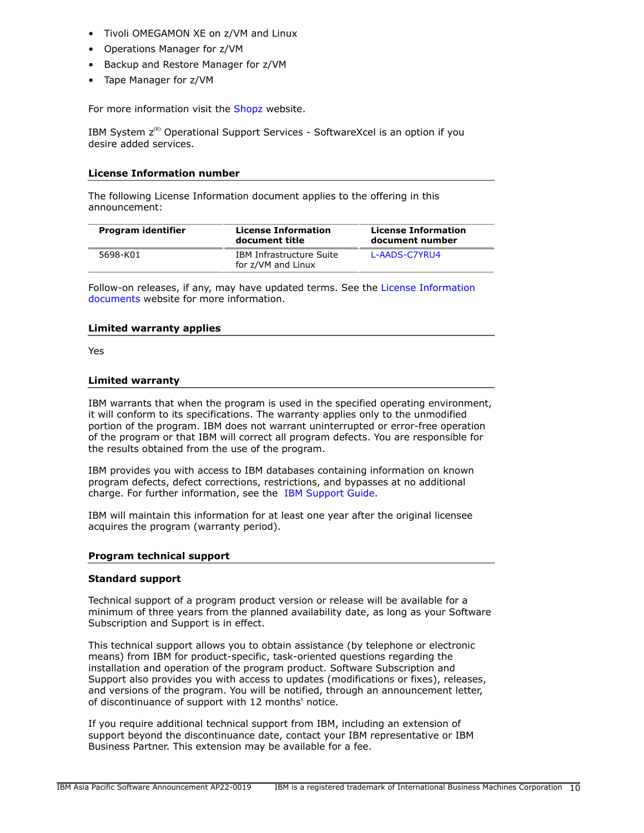- Tivoli OMEGAMON XE on z/VM and Linux
- Operations Manager for z/VM
- Backup and Restore Manager for z/VM
- Tape Manager for z/VM

For more information visit the [Shopz](https://www14.software.ibm.com/webapp/ShopzSeries/ShopzSeries.jsp) website.

IBM System  $z^{(R)}$  Operational Support Services - SoftwareXcel is an option if you desire added services.

### **License Information number**

The following License Information document applies to the offering in this announcement:

| Program identifier | <b>License Information</b><br>document title   | <b>License Information</b><br>document number |
|--------------------|------------------------------------------------|-----------------------------------------------|
| 5698-K01           | IBM Infrastructure Suite<br>for z/VM and Linux | L-AADS-C7YRU4                                 |

Follow-on releases, if any, may have updated terms. See the [License Information](https://www.ibm.com/software/sla/sladb.nsf/search?OpenForm) [documents](https://www.ibm.com/software/sla/sladb.nsf/search?OpenForm) website for more information.

### **Limited warranty applies**

Yes

### **Limited warranty**

IBM warrants that when the program is used in the specified operating environment, it will conform to its specifications. The warranty applies only to the unmodified portion of the program. IBM does not warrant uninterrupted or error-free operation of the program or that IBM will correct all program defects. You are responsible for the results obtained from the use of the program.

IBM provides you with access to IBM databases containing information on known program defects, defect corrections, restrictions, and bypasses at no additional charge. For further information, see the [IBM Support Guide](http://www.ibm.com/support/customercare/sas/f/handbook/home.html).

IBM will maintain this information for at least one year after the original licensee acquires the program (warranty period).

### **Program technical support**

### **Standard support**

Technical support of a program product version or release will be available for a minimum of three years from the planned availability date, as long as your Software Subscription and Support is in effect.

This technical support allows you to obtain assistance (by telephone or electronic means) from IBM for product-specific, task-oriented questions regarding the installation and operation of the program product. Software Subscription and Support also provides you with access to updates (modifications or fixes), releases, and versions of the program. You will be notified, through an announcement letter, of discontinuance of support with 12 months' notice.

If you require additional technical support from IBM, including an extension of support beyond the discontinuance date, contact your IBM representative or IBM Business Partner. This extension may be available for a fee.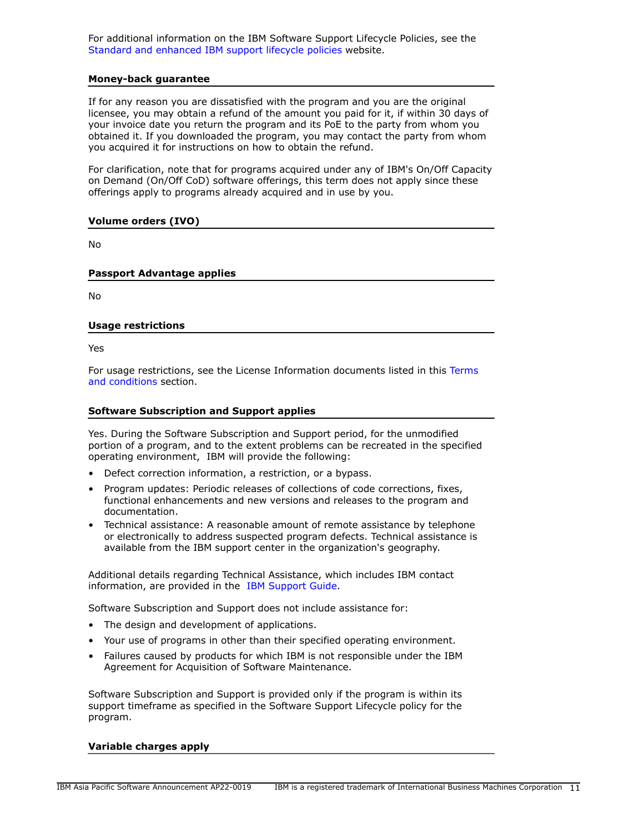For additional information on the IBM Software Support Lifecycle Policies, see the [Standard and enhanced IBM support lifecycle policies](http://www.ibm.com/software/support/lifecycle/lc-policy.html) website.

### **Money-back guarantee**

If for any reason you are dissatisfied with the program and you are the original licensee, you may obtain a refund of the amount you paid for it, if within 30 days of your invoice date you return the program and its PoE to the party from whom you obtained it. If you downloaded the program, you may contact the party from whom you acquired it for instructions on how to obtain the refund.

For clarification, note that for programs acquired under any of IBM's On/Off Capacity on Demand (On/Off CoD) software offerings, this term does not apply since these offerings apply to programs already acquired and in use by you.

### **Volume orders (IVO)**

No

### **Passport Advantage applies**

No

### **Usage restrictions**

Yes

For usage restrictions, see the License Information documents listed in this [Terms](#page-8-0) [and conditions](#page-8-0) section.

### **Software Subscription and Support applies**

Yes. During the Software Subscription and Support period, for the unmodified portion of a program, and to the extent problems can be recreated in the specified operating environment, IBM will provide the following:

- Defect correction information, a restriction, or a bypass.
- Program updates: Periodic releases of collections of code corrections, fixes, functional enhancements and new versions and releases to the program and documentation.
- Technical assistance: A reasonable amount of remote assistance by telephone or electronically to address suspected program defects. Technical assistance is available from the IBM support center in the organization's geography.

Additional details regarding Technical Assistance, which includes IBM contact information, are provided in the [IBM Support Guide](http://www.ibm.com/support/customercare/sas/f/handbook/home.html).

Software Subscription and Support does not include assistance for:

- The design and development of applications.
- Your use of programs in other than their specified operating environment.
- Failures caused by products for which IBM is not responsible under the IBM Agreement for Acquisition of Software Maintenance.

Software Subscription and Support is provided only if the program is within its support timeframe as specified in the Software Support Lifecycle policy for the program.

### **Variable charges apply**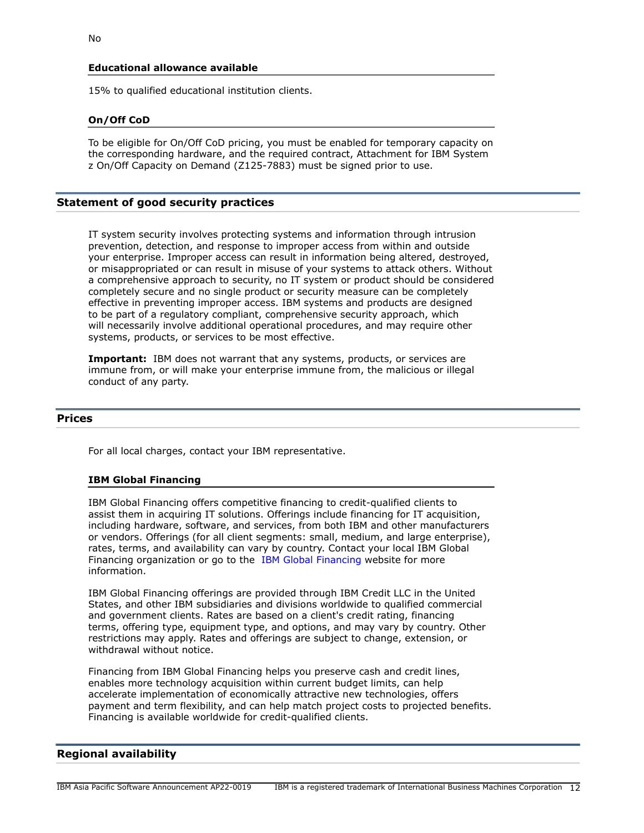### **Educational allowance available**

15% to qualified educational institution clients.

### **On/Off CoD**

To be eligible for On/Off CoD pricing, you must be enabled for temporary capacity on the corresponding hardware, and the required contract, Attachment for IBM System z On/Off Capacity on Demand (Z125-7883) must be signed prior to use.

### **Statement of good security practices**

IT system security involves protecting systems and information through intrusion prevention, detection, and response to improper access from within and outside your enterprise. Improper access can result in information being altered, destroyed, or misappropriated or can result in misuse of your systems to attack others. Without a comprehensive approach to security, no IT system or product should be considered completely secure and no single product or security measure can be completely effective in preventing improper access. IBM systems and products are designed to be part of a regulatory compliant, comprehensive security approach, which will necessarily involve additional operational procedures, and may require other systems, products, or services to be most effective.

**Important:** IBM does not warrant that any systems, products, or services are immune from, or will make your enterprise immune from, the malicious or illegal conduct of any party.

### <span id="page-11-0"></span>**Prices**

For all local charges, contact your IBM representative.

#### **IBM Global Financing**

IBM Global Financing offers competitive financing to credit-qualified clients to assist them in acquiring IT solutions. Offerings include financing for IT acquisition, including hardware, software, and services, from both IBM and other manufacturers or vendors. Offerings (for all client segments: small, medium, and large enterprise), rates, terms, and availability can vary by country. Contact your local IBM Global Financing organization or go to the [IBM Global Financing](http://www.ibm.com/financing) website for more information.

IBM Global Financing offerings are provided through IBM Credit LLC in the United States, and other IBM subsidiaries and divisions worldwide to qualified commercial and government clients. Rates are based on a client's credit rating, financing terms, offering type, equipment type, and options, and may vary by country. Other restrictions may apply. Rates and offerings are subject to change, extension, or withdrawal without notice.

Financing from IBM Global Financing helps you preserve cash and credit lines, enables more technology acquisition within current budget limits, can help accelerate implementation of economically attractive new technologies, offers payment and term flexibility, and can help match project costs to projected benefits. Financing is available worldwide for credit-qualified clients.

# <span id="page-11-1"></span>**Regional availability**